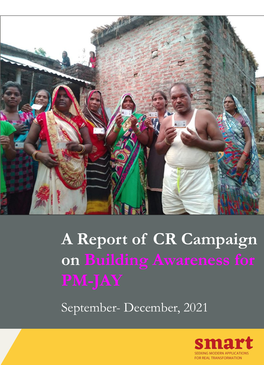

# **A Report of CR Campaign on Building Awareness for**

September- December, 2021

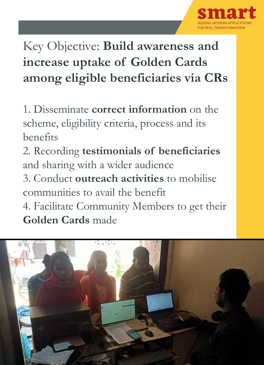

## Key Objective: **Build awareness and increase uptake of Golden Cards among eligible beneficiaries via CRs**

1. Disseminate **correct information** on the scheme, eligibility criteria, process and its benefits

2. Recording **testimonials of beneficiaries** and sharing with a wider audience

3. Conduct **outreach activities** to mobilise communities to avail the benefit

4. Facilitate Community Members to get their **Golden Cards** made

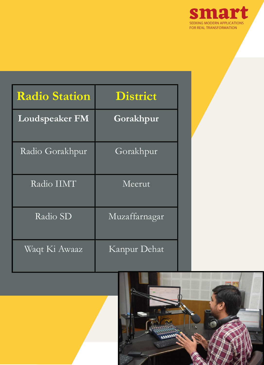

| Radio Station         | <b>District</b> |
|-----------------------|-----------------|
| <b>Loudspeaker FM</b> | Gorakhpur       |
| Radio Gorakhpur       | Gorakhpur       |
| Radio IIMT            | Meerut          |
| Radio SD              | Muzaffarnagar   |
| Waqt Ki Awaaz         | Kanpur Dehat    |

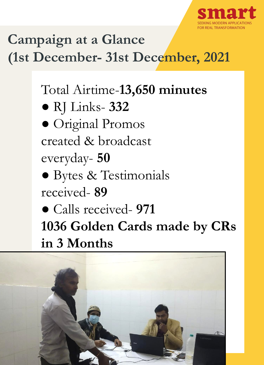

## **Campaign at a Glance (1st December- 31st December, 2021**

## Total Airtime-**13,650 minutes**

- RJ Links- **332**
- Original Promos created & broadcast everyday- **50**
- Bytes & Testimonials received- **89**
- Calls received- **971 1036 Golden Cards made by CRs in 3 Months**

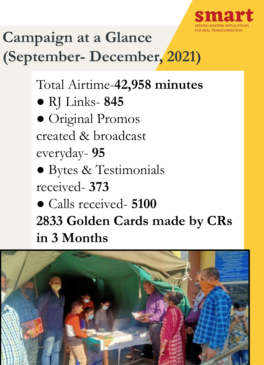

## **Campaign at a Glance (September- December, 2021)**

Total Airtime-**42,958 minutes** ● RJ Links- **845** ● Original Promos created & broadcast everyday- **95** ● Bytes & Testimonials received- **373** ● Calls received- **5100 2833 Golden Cards made by CRs in 3 Months**

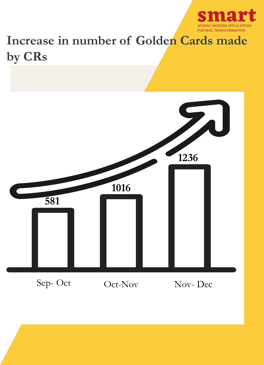

## **Increase in number of Golden Cards made by CRs**

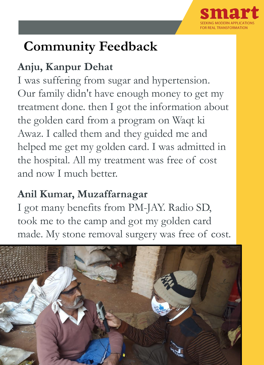

## **Community Feedback**

#### **Anju, Kanpur Dehat**

I was suffering from sugar and hypertension. Our family didn't have enough money to get my treatment done. then I got the information about the golden card from a program on Waqt ki Awaz. I called them and they guided me and helped me get my golden card. I was admitted in the hospital. All my treatment was free of cost and now I much better.

#### **Anil Kumar, Muzaffarnagar**

I got many benefits from PM-JAY. Radio SD, took me to the camp and got my golden card made. My stone removal surgery was free of cost.

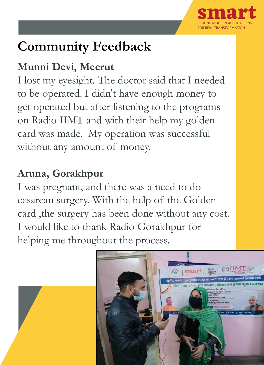

## **Community Feedback**

#### **Munni Devi, Meerut**

I lost my eyesight. The doctor said that I needed to be operated. I didn't have enough money to get operated but after listening to the programs on Radio IIMT and with their help my golden card was made. My operation was successful without any amount of money.

#### **Aruna, Gorakhpur**

I was pregnant, and there was a need to do cesarean surgery. With the help of the Golden card ,the surgery has been done without any cost. I would like to thank Radio Gorakhpur for helping me throughout the process.